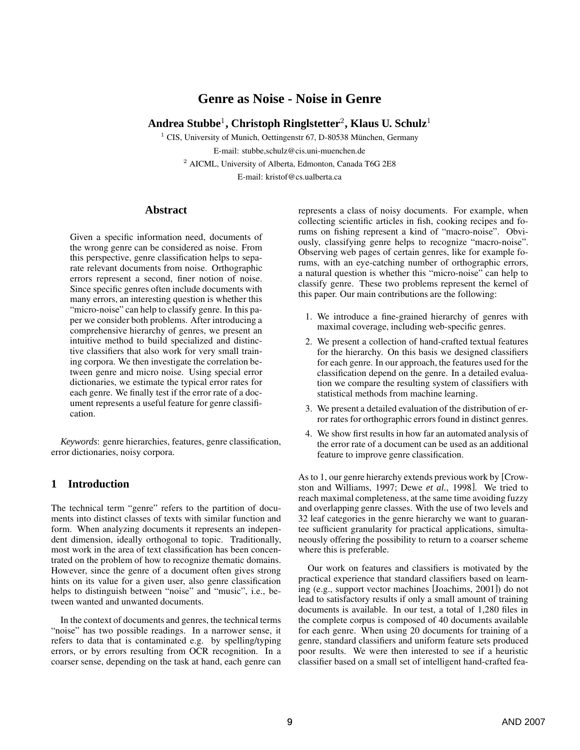# **Genre as Noise - Noise in Genre**

# **Andrea Stubbe**<sup>1</sup> **, Christoph Ringlstetter**<sup>2</sup> **, Klaus U. Schulz**<sup>1</sup>

 $1$  CIS, University of Munich, Oettingenstr 67, D-80538 München, Germany E-mail: stubbe,schulz@cis.uni-muenchen.de <sup>2</sup> AICML, University of Alberta, Edmonton, Canada T6G 2E8

E-mail: kristof@cs.ualberta.ca

### **Abstract**

Given a specific information need, documents of the wrong genre can be considered as noise. From this perspective, genre classification helps to separate relevant documents from noise. Orthographic errors represent a second, finer notion of noise. Since specific genres often include documents with many errors, an interesting question is whether this "micro-noise" can help to classify genre. In this paper we consider both problems. After introducing a comprehensive hierarchy of genres, we present an intuitive method to build specialized and distinctive classifiers that also work for very small training corpora. We then investigate the correlation between genre and micro noise. Using special error dictionaries, we estimate the typical error rates for each genre. We finally test if the error rate of a document represents a useful feature for genre classification.

*Keywords*: genre hierarchies, features, genre classification, error dictionaries, noisy corpora.

# **1 Introduction**

The technical term "genre" refers to the partition of documents into distinct classes of texts with similar function and form. When analyzing documents it represents an independent dimension, ideally orthogonal to topic. Traditionally, most work in the area of text classification has been concentrated on the problem of how to recognize thematic domains. However, since the genre of a document often gives strong hints on its value for a given user, also genre classification helps to distinguish between "noise" and "music", i.e., between wanted and unwanted documents.

In the context of documents and genres, the technical terms "noise" has two possible readings. In a narrower sense, it refers to data that is contaminated e.g. by spelling/typing errors, or by errors resulting from OCR recognition. In a coarser sense, depending on the task at hand, each genre can

represents a class of noisy documents. For example, when collecting scientific articles in fish, cooking recipes and forums on fishing represent a kind of "macro-noise". Obviously, classifying genre helps to recognize "macro-noise". Observing web pages of certain genres, like for example forums, with an eye-catching number of orthographic errors, a natural question is whether this "micro-noise" can help to classify genre. These two problems represent the kernel of this paper. Our main contributions are the following:

- 1. We introduce a fine-grained hierarchy of genres with maximal coverage, including web-specific genres.
- 2. We present a collection of hand-crafted textual features for the hierarchy. On this basis we designed classifiers for each genre. In our approach, the features used for the classification depend on the genre. In a detailed evaluation we compare the resulting system of classifiers with statistical methods from machine learning.
- 3. We present a detailed evaluation of the distribution of error rates for orthographic errors found in distinct genres.
- 4. We show first results in how far an automated analysis of the error rate of a document can be used as an additional feature to improve genre classification.

As to 1, our genre hierarchy extends previous work by [Crowston and Williams, 1997; Dewe *et al.*, 1998]. We tried to reach maximal completeness, at the same time avoiding fuzzy and overlapping genre classes. With the use of two levels and 32 leaf categories in the genre hierarchy we want to guarantee sufficient granularity for practical applications, simultaneously offering the possibility to return to a coarser scheme where this is preferable.

Our work on features and classifiers is motivated by the practical experience that standard classifiers based on learning (e.g., support vector machines [Joachims, 2001]) do not lead to satisfactory results if only a small amount of training documents is available. In our test, a total of 1,280 files in the complete corpus is composed of 40 documents available for each genre. When using 20 documents for training of a genre, standard classifiers and uniform feature sets produced poor results. We were then interested to see if a heuristic classifier based on a small set of intelligent hand-crafted fea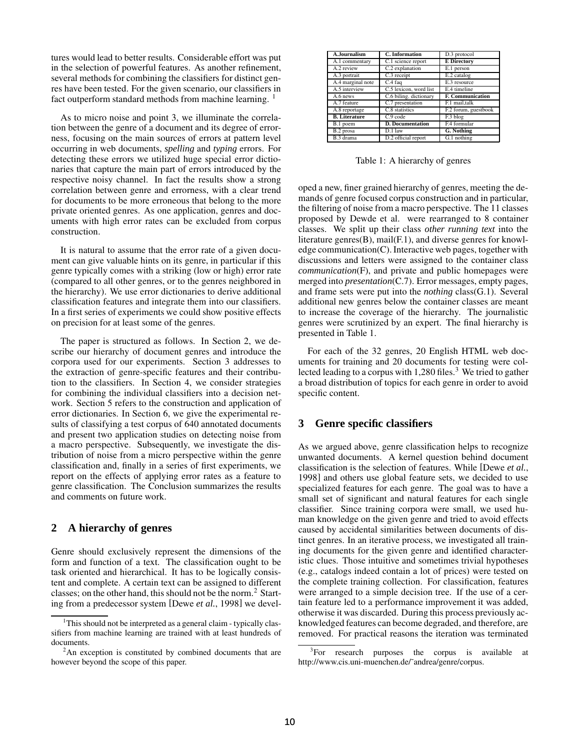tures would lead to better results. Considerable effort was put in the selection of powerful features. As another refinement, several methods for combining the classifiers for distinct genres have been tested. For the given scenario, our classifiers in fact outperform standard methods from machine learning. <sup>1</sup>

As to micro noise and point 3, we illuminate the correlation between the genre of a document and its degree of errorness, focusing on the main sources of errors at pattern level occurring in web documents, *spelling* and *typing* errors. For detecting these errors we utilized huge special error dictionaries that capture the main part of errors introduced by the respective noisy channel. In fact the results show a strong correlation between genre and errorness, with a clear trend for documents to be more erroneous that belong to the more private oriented genres. As one application, genres and documents with high error rates can be excluded from corpus construction.

It is natural to assume that the error rate of a given document can give valuable hints on its genre, in particular if this genre typically comes with a striking (low or high) error rate (compared to all other genres, or to the genres neighbored in the hierarchy). We use error dictionaries to derive additional classification features and integrate them into our classifiers. In a first series of experiments we could show positive effects on precision for at least some of the genres.

The paper is structured as follows. In Section 2, we describe our hierarchy of document genres and introduce the corpora used for our experiments. Section 3 addresses to the extraction of genre-specific features and their contribution to the classifiers. In Section 4, we consider strategies for combining the individual classifiers into a decision network. Section 5 refers to the construction and application of error dictionaries. In Section 6, we give the experimental results of classifying a test corpus of 640 annotated documents and present two application studies on detecting noise from a macro perspective. Subsequently, we investigate the distribution of noise from a micro perspective within the genre classification and, finally in a series of first experiments, we report on the effects of applying error rates as a feature to genre classification. The Conclusion summarizes the results and comments on future work.

### **2 A hierarchy of genres**

Genre should exclusively represent the dimensions of the form and function of a text. The classification ought to be task oriented and hierarchical. It has to be logically consistent and complete. A certain text can be assigned to different classes; on the other hand, this should not be the norm.<sup>2</sup> Starting from a predecessor system [Dewe *et al.*, 1998] we devel-

| A.Journalism         | C. Information          | D.3 protocol            |
|----------------------|-------------------------|-------------------------|
| A.1 commentary       | C.1 science report      | <b>E</b> Directory      |
| A.2 review           | C.2 explanation         | E.1 person              |
| A.3 portrait         | C.3 receipt             | E.2 catalog             |
| A.4 marginal note    | C.4 faq                 | E.3 resource            |
| A.5 interview        | C.5 lexicon, word list  | E.4 timeline            |
| A.6 news             | C.6 biling. dictionary  | <b>F. Communication</b> |
| A.7 feature          | C.7 presentation        | F.1 mail,talk           |
| A.8 reportage        | C.8 statistics          | F.2 forum, guestbook    |
| <b>B.</b> Literature | C.9 code                | F.3 blog                |
| B.1 poem             | <b>D.</b> Documentation | F.4 formular            |
| B.2 prosa            | $D.1$ law               | G. Nothing              |
| B.3 drama            | D.2 official report     | G.1 nothing             |

Table 1: A hierarchy of genres

oped a new, finer grained hierarchy of genres, meeting the demands of genre focused corpus construction and in particular, the filtering of noise from a macro perspective. The 11 classes proposed by Dewde et al. were rearranged to 8 container classes. We split up their class *other running text* into the literature genres(B), mail(F.1), and diverse genres for knowledge communication(C).Interactive web pages, together with discussions and letters were assigned to the container class *communication*(F), and private and public homepages were merged into *presentation*(C.7). Error messages, empty pages, and frame sets were put into the *nothing* class(G.1). Several additional new genres below the container classes are meant to increase the coverage of the hierarchy. The journalistic genres were scrutinized by an expert. The final hierarchy is presented in Table 1.

For each of the 32 genres, 20 English HTML web documents for training and 20 documents for testing were collected leading to a corpus with  $1,280$  files.<sup>3</sup> We tried to gather a broad distribution of topics for each genre in order to avoid specific content.

### **3 Genre specific classifiers**

As we argued above, genre classification helps to recognize unwanted documents. A kernel question behind document classification is the selection of features. While [Dewe *et al.*, 1998] and others use global feature sets, we decided to use specialized features for each genre. The goal was to have a small set of significant and natural features for each single classifier. Since training corpora were small, we used human knowledge on the given genre and tried to avoid effects caused by accidental similarities between documents of distinct genres. In an iterative process, we investigated all training documents for the given genre and identified characteristic clues. Those intuitive and sometimes trivial hypotheses (e.g., catalogs indeed contain a lot of prices) were tested on the complete training collection. For classification, features were arranged to a simple decision tree. If the use of a certain feature led to a performance improvement it was added, otherwise it was discarded. During this process previously acknowledged features can become degraded, and therefore, are removed. For practical reasons the iteration was terminated

 $1$ This should not be interpreted as a general claim - typically classifiers from machine learning are trained with at least hundreds of documents.

<sup>&</sup>lt;sup>2</sup>An exception is constituted by combined documents that are however beyond the scope of this paper.

<sup>&</sup>lt;sup>3</sup>For research purposes the corpus is available at http://www.cis.uni-muenchen.de/˜andrea/genre/corpus.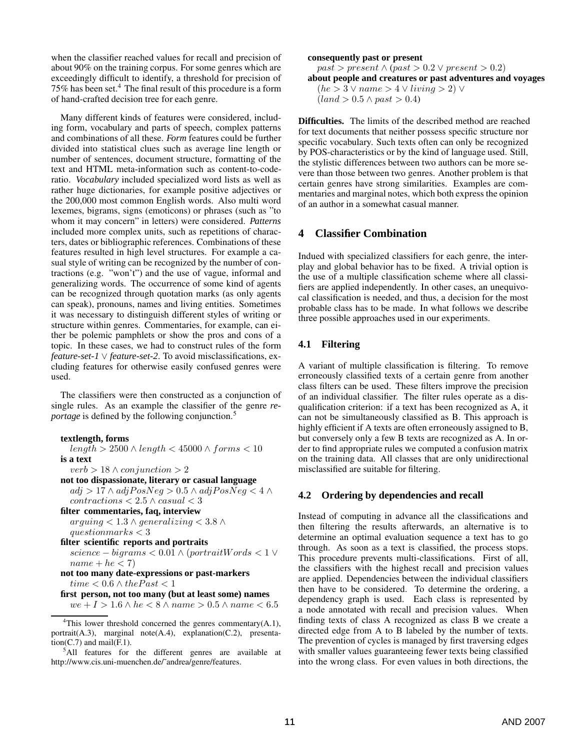when the classifier reached values for recall and precision of about 90% on the training corpus. For some genres which are exceedingly difficult to identify, a threshold for precision of 75% has been set.<sup>4</sup> The final result of this procedure is a form of hand-crafted decision tree for each genre.

Many different kinds of features were considered, including form, vocabulary and parts of speech, complex patterns and combinations of all these. *Form* features could be further divided into statistical clues such as average line length or number of sentences, document structure, formatting of the text and HTML meta-information such as content-to-coderatio. *Vocabulary* included specialized word lists as well as rather huge dictionaries, for example positive adjectives or the 200,000 most common English words. Also multi word lexemes, bigrams, signs (emoticons) or phrases (such as "to whom it may concern" in letters) were considered. *Patterns* included more complex units, such as repetitions of characters, dates or bibliographic references. Combinations of these features resulted in high level structures. For example a casual style of writing can be recognized by the number of contractions (e.g. "won't") and the use of vague, informal and generalizing words. The occurrence of some kind of agents can be recognized through quotation marks (as only agents can speak), pronouns, names and living entities. Sometimes it was necessary to distinguish different styles of writing or structure within genres. Commentaries, for example, can either be polemic pamphlets or show the pros and cons of a topic. In these cases, we had to construct rules of the form *feature-set-1* ∨ *feature-set-2*. To avoid misclassifications, excluding features for otherwise easily confused genres were used.

The classifiers were then constructed as a conjunction of single rules. As an example the classifier of the genre *reportage* is defined by the following conjunction.<sup>5</sup>

#### **textlength, forms**

 $length > 2500 \land length < 45000 \land forms < 10$ **is a text**  $verb > 18 \wedge conjunction > 2$ 

**not too dispassionate, literary or casual language** adj > 17 ∧ adjPosNeg > 0.5 ∧ adjPosNeg < 4 ∧  $contractions < 2.5 \land casual < 3$ 

**filter commentaries, faq, interview**

arguing  $< 1.3 \land generalizing < 3.8 \land$  $questionmarks < 3$ 

```
filter scientific reports and portraits
science – bigrams < 0.01 \wedge (portraitWords < 1 \veename + he < 7)
```

```
not too many date-expressions or past-markers
time < 0.6 \wedge the Past < 1
```
**first person, not too many (but at least some) names**

 $we + I > 1.6 \wedge he < 8 \wedge name > 0.5 \wedge name < 6.5$ 

#### **consequently past or present**

 $past > present \land (past > 0.2 \lor present > 0.2)$ **about people and creatures or past adventures and voyages**  $(he > 3 \vee name > 4 \vee living > 2) \vee$  $(land > 0.5 \land past > 0.4)$ 

**Difficulties.** The limits of the described method are reached for text documents that neither possess specific structure nor specific vocabulary. Such texts often can only be recognized by POS-characteristics or by the kind of language used. Still, the stylistic differences between two authors can be more severe than those between two genres. Another problem is that certain genres have strong similarities. Examples are commentaries and marginal notes, which both express the opinion of an author in a somewhat casual manner.

# **4 Classifier Combination**

Indued with specialized classifiers for each genre, the interplay and global behavior has to be fixed. A trivial option is the use of a multiple classification scheme where all classifiers are applied independently. In other cases, an unequivocal classification is needed, and thus, a decision for the most probable class has to be made. In what follows we describe three possible approaches used in our experiments.

#### **4.1 Filtering**

A variant of multiple classification is filtering. To remove erroneously classified texts of a certain genre from another class filters can be used. These filters improve the precision of an individual classifier. The filter rules operate as a disqualification criterion: if a text has been recognized as A, it can not be simultaneously classified as B. This approach is highly efficient if A texts are often erroneously assigned to B, but conversely only a few B texts are recognized as A. In order to find appropriate rules we computed a confusion matrix on the training data. All classes that are only unidirectional misclassified are suitable for filtering.

### **4.2 Ordering by dependencies and recall**

Instead of computing in advance all the classifications and then filtering the results afterwards, an alternative is to determine an optimal evaluation sequence a text has to go through. As soon as a text is classified, the process stops. This procedure prevents multi-classifications. First of all, the classifiers with the highest recall and precision values are applied. Dependencies between the individual classifiers then have to be considered. To determine the ordering, a dependency graph is used. Each class is represented by a node annotated with recall and precision values. When finding texts of class A recognized as class B we create a directed edge from A to B labeled by the number of texts. The prevention of cycles is managed by first traversing edges with smaller values guaranteeing fewer texts being classified into the wrong class. For even values in both directions, the

<sup>&</sup>lt;sup>4</sup>This lower threshold concerned the genres commentary $(A,1)$ , portrait(A.3), marginal note(A.4), explanation(C.2), presenta $tion(C.7)$  and mail $(F.1)$ .

<sup>5</sup>All features for the different genres are available at http://www.cis.uni-muenchen.de/˜andrea/genre/features.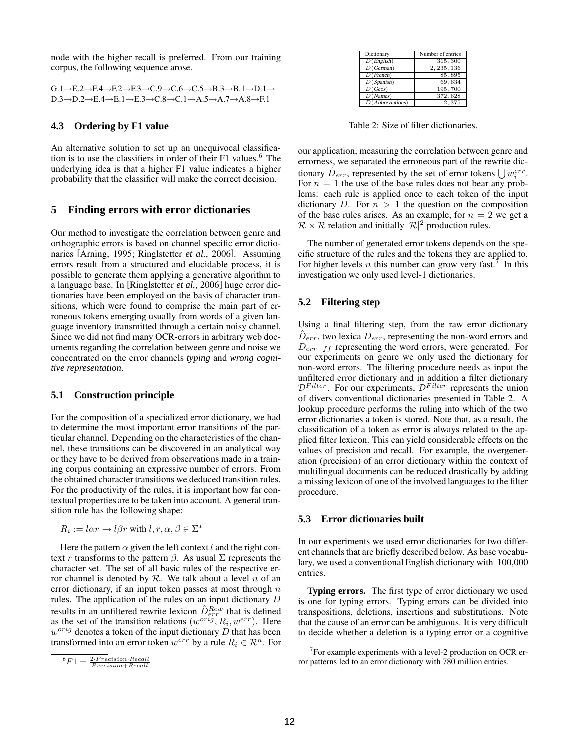node with the higher recall is preferred. From our training corpus, the following sequence arose.

| $G.1 \rightarrow E.2 \rightarrow F.4 \rightarrow F.2 \rightarrow F.3 \rightarrow C.9 \rightarrow C.6 \rightarrow C.5 \rightarrow B.3 \rightarrow B.1 \rightarrow D.1 \rightarrow$ |
|-----------------------------------------------------------------------------------------------------------------------------------------------------------------------------------|
| $D.3 \rightarrow D.2 \rightarrow E.4 \rightarrow E.1 \rightarrow E.3 \rightarrow C.8 \rightarrow C.1 \rightarrow A.5 \rightarrow A.7 \rightarrow A.8 \rightarrow F.1$             |

#### **4.3 Ordering by F1 value**

An alternative solution to set up an unequivocal classification is to use the classifiers in order of their F1 values.<sup>6</sup> The underlying idea is that a higher F1 value indicates a higher probability that the classifier will make the correct decision.

#### **5 Finding errors with error dictionaries**

Our method to investigate the correlation between genre and orthographic errors is based on channel specific error dictionaries [Arning, 1995; Ringlstetter *et al.*, 2006]. Assuming errors result from a structured and elucidable process, it is possible to generate them applying a generative algorithm to a language base. In [Ringlstetter *et al.*, 2006] huge error dictionaries have been employed on the basis of character transitions, which were found to comprise the main part of erroneous tokens emerging usually from words of a given language inventory transmitted through a certain noisy channel. Since we did not find many OCR-errors in arbitrary web documents regarding the correlation between genre and noise we concentrated on the error channels *typing* and *wrong cognitive representation*.

#### **5.1 Construction principle**

For the composition of a specialized error dictionary, we had to determine the most important error transitions of the particular channel. Depending on the characteristics of the channel, these transitions can be discovered in an analytical way or they have to be derived from observations made in a training corpus containing an expressive number of errors. From the obtained character transitions we deduced transition rules. For the productivity of the rules, it is important how far contextual properties are to be taken into account. A general transition rule has the following shape:

$$
R_i := \ln r \to \ln l, r, \alpha, \beta \in \Sigma^*
$$

Here the pattern  $\alpha$  given the left context l and the right context r transforms to the pattern  $\beta$ . As usual  $\Sigma$  represents the character set. The set of all basic rules of the respective error channel is denoted by  $R$ . We talk about a level n of an error dictionary, if an input token passes at most through  $n$ rules. The application of the rules on an input dictionary D results in an unfiltered rewrite lexicon  $\hat{D}_{err}^{Rew}$  that is defined as the set of the transition relations  $(w^{orig}, R_i, w^{err})$ . Here  $w^{orig}$  denotes a token of the input dictionary  $D$  that has been transformed into an error token  $w^{err}$  by a rule  $R_i \in \mathcal{R}^n$ . For

| Dictionary               | Number of entries |
|--------------------------|-------------------|
| D(English)               | 315, 300          |
| D(German)                | 2, 235, 136       |
| $D$ (French)             | 85,895            |
| $\overline{D}$ (Spanish) | 69,634            |
| D(Geos)                  | 195,700           |
| D(Names)                 | 372, 628          |
| $D$ (Abbreviations)      | 2,375             |

Table 2: Size of filter dictionaries.

our application, measuring the correlation between genre and errorness, we separated the erroneous part of the rewrite dictionary  $\hat{D}_{err}$ , represented by the set of error tokens  $\bigcup w_i^{err}$ . For  $n = 1$  the use of the base rules does not bear any problems: each rule is applied once to each token of the input dictionary D. For  $n > 1$  the question on the composition of the base rules arises. As an example, for  $n = 2$  we get a  $\mathcal{R} \times \mathcal{R}$  relation and initially  $|\mathcal{R}|^2$  production rules.

The number of generated error tokens depends on the specific structure of the rules and the tokens they are applied to. For higher levels *n* this number can grow very fast.<sup>7</sup> In this investigation we only used level-1 dictionaries.

### **5.2 Filtering step**

Using a final filtering step, from the raw error dictionary  $\hat{D}_{err}$ , two lexica  $D_{err}$ , representing the non-word errors and D<sub>err−ff</sub> representing the word errors, were generated. For our experiments on genre we only used the dictionary for non-word errors. The filtering procedure needs as input the unfiltered error dictionary and in addition a filter dictionary  $\mathcal{D}^{Filter}$ . For our experiments,  $\mathcal{D}^{Filter}$  represents the union of divers conventional dictionaries presented in Table 2. A lookup procedure performs the ruling into which of the two error dictionaries a token is stored. Note that, as a result, the classification of a token as error is always related to the applied filter lexicon. This can yield considerable effects on the values of precision and recall. For example, the overgeneration (precision) of an error dictionary within the context of multilingual documents can be reduced drastically by adding a missing lexicon of one of the involved languages to the filter procedure.

#### **5.3 Error dictionaries built**

In our experiments we used error dictionaries for two different channels that are briefly described below. As base vocabulary, we used a conventional English dictionary with 100,000 entries.

**Typing errors.** The first type of error dictionary we used is one for typing errors. Typing errors can be divided into transpositions, deletions, insertions and substitutions. Note that the cause of an error can be ambiguous. It is very difficult to decide whether a deletion is a typing error or a cognitive

 ${}^6F1 = \frac{2 \cdot Precision \cdot Recall}{Precision + Recall}$ 

<sup>&</sup>lt;sup>7</sup>For example experiments with a level-2 production on OCR error patterns led to an error dictionary with 780 million entries.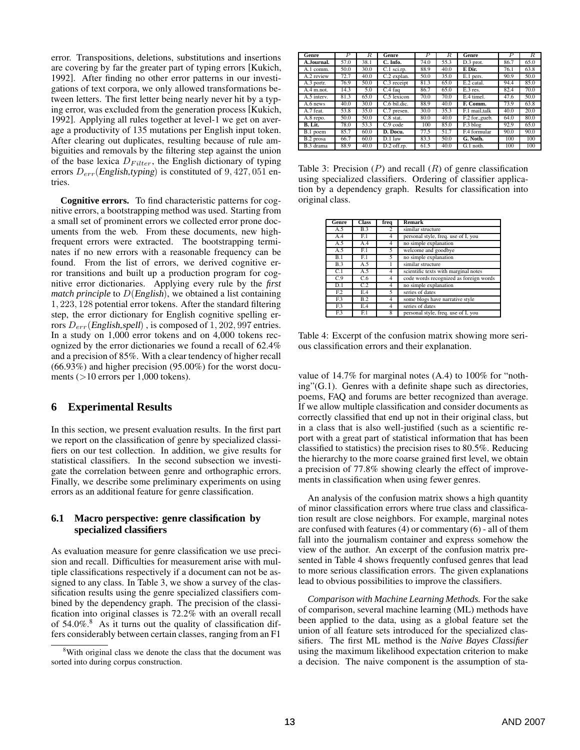error. Transpositions, deletions, substitutions and insertions are covering by far the greater part of typing errors [Kukich, 1992]. After finding no other error patterns in our investigations of text corpora, we only allowed transformations between letters. The first letter being nearly never hit by a typing error, was excluded from the generation process [Kukich, 1992]. Applying all rules together at level-1 we get on average a productivity of 135 mutations per English input token. After clearing out duplicates, resulting because of rule ambiguities and removals by the filtering step against the union of the base lexica  $D_{Filter}$ , the English dictionary of typing errors  $D_{err}$ (English,typing) is constituted of 9, 427, 051 entries.

**Cognitive errors.** To find characteristic patterns for cognitive errors, a bootstrapping method was used. Starting from a small set of prominent errors we collected error prone documents from the web. From these documents, new highfrequent errors were extracted. The bootstrapping terminates if no new errors with a reasonable frequency can be found. From the list of errors, we derived cognitive error transitions and built up a production program for cognitive error dictionaries. Applying every rule by the *first match principle* to D(English), we obtained a list containing 1, 223, 128 potential error tokens. After the standard filtering step, the error dictionary for English cognitive spelling errors  $D_{err}$ (English,spell), is composed of 1, 202, 997 entries. In a study on 1,000 error tokens and on 4,000 tokens recognized by the error dictionaries we found a recall of 62.4% and a precision of 85%. With a clear tendency of higher recall (66.93%) and higher precision (95.00%) for the worst documents ( $>10$  errors per 1,000 tokens).

# **6 Experimental Results**

In this section, we present evaluation results. In the first part we report on the classification of genre by specialized classifiers on our test collection. In addition, we give results for statistical classifiers. In the second subsection we investigate the correlation between genre and orthographic errors. Finally, we describe some preliminary experiments on using errors as an additional feature for genre classification.

### **6.1 Macro perspective: genre classification by specialized classifiers**

As evaluation measure for genre classification we use precision and recall. Difficulties for measurement arise with multiple classifications respectively if a document can not be assigned to any class. In Table 3, we show a survey of the classification results using the genre specialized classifiers combined by the dependency graph. The precision of the classification into original classes is 72.2% with an overall recall of  $54.0\%$ .<sup>8</sup> As it turns out the quality of classification differs considerably between certain classes, ranging from an F1

| Genre                   | Р    | R.   | Genre                     | P    | R.   | <b>Genre</b>           | P    | R.   |
|-------------------------|------|------|---------------------------|------|------|------------------------|------|------|
| A.Journal.              | 57.0 | 38.1 | C. Info.                  | 74.0 | 55.3 | $\overline{D.3}$ prot. | 86.7 | 65.0 |
| A.1 comm.               | 50.0 | 30.0 | $\overline{C}$ .1 sci.rp. | 88.9 | 40.0 | E Dir.                 | 76.1 | 63.8 |
| A.2 review              | 72.7 | 40.0 | C.2 explan.               | 50.0 | 35.0 | E.1 pers.              | 90.9 | 50.0 |
| $\overline{A.3}$ portr. | 76.9 | 50.0 | $C.3$ receipt             | 81.3 | 65.0 | $E.2$ catal.           | 94.4 | 85.0 |
| $\overline{A.4}$ m.not. | 14.3 | 5.0  | $\overline{C.4}$ faq      | 86.7 | 65.0 | $E.3$ res.             | 82.4 | 70.0 |
| A.5 interv.             | 81.3 | 65.0 | C.5 lexicon               | 70.0 | 70.0 | E.4 timel.             | 47.6 | 50.0 |
| $\overline{A.6}$ news   | 40.0 | 30.0 | C.6 bil.dic.              | 88.9 | 40.0 | F. Comm.               | 73.9 | 63.8 |
| A.7 feat.               | 53.8 | 35.0 | C.7 presen.               | 30.0 | 35.3 | F.1 mail.talk          | 40.0 | 20.0 |
| A.8 repo.               | 50.0 | 50.0 | $C.8$ stat.               | 80.0 | 40.0 | F.2 for .gueb.         | 64.0 | 80.0 |
| B. Lit.                 | 78.0 | 53.3 | $C.9$ code                | 100  | 85.0 | F.3 blog               | 92.9 | 65.0 |
| B.1 poem                | 85.7 | 60.0 | D. Docu.                  | 77.5 | 51.7 | F.4 formular           | 90.0 | 90.0 |
| B.2 prosa               | 66.7 | 60.0 | D.1 law                   | 83.3 | 50.0 | G. Noth.               | 100  | 100  |
| B.3 drama               | 88.9 | 40.0 | $D.2$ off.rp.             | 61.5 | 40.0 | $\overline{G.1}$ noth. | 100  | 100  |

Table 3: Precision  $(P)$  and recall  $(R)$  of genre classification using specialized classifiers. Ordering of classifier application by a dependency graph. Results for classification into original class.

| Genre           | <b>Class</b> | freq           | <b>Remark</b>                          |
|-----------------|--------------|----------------|----------------------------------------|
| A.5             | B.3          | 2              | similar structure                      |
| A.4             | E.1          | 4              | personal style, freq. use of I, you    |
| A.5             | A.4          | 4              | no simple explanation                  |
| A.5             | E.1          | 5              | welcome and goodbye                    |
| B.1             | E.1          | 5.             | no simple explanation                  |
| B.3             | A.5          |                | similar structure                      |
| C.1             | A.5          | 4              | scientific texts with marginal notes   |
| C.9             | C.6          | 4              | code words recognized as foreign words |
| D.1             | C.2          | 4              | no simple explanation                  |
| F <sub>12</sub> | E.4          | 5.             | series of dates                        |
| F.3             | B.2          | $\overline{4}$ | some blogs have narrative style        |
| F <sub>13</sub> | E.4          | 4              | series of dates                        |
| F.3             | F.1          | 8              | personal style, freq. use of I, you    |

Table 4: Excerpt of the confusion matrix showing more serious classification errors and their explanation.

value of 14.7% for marginal notes (A.4) to 100% for "nothing"(G.1). Genres with a definite shape such as directories, poems, FAQ and forums are better recognized than average. If we allow multiple classification and consider documents as correctly classified that end up not in their original class, but in a class that is also well-justified (such as a scientific report with a great part of statistical information that has been classified to statistics) the precision rises to 80.5%. Reducing the hierarchy to the more coarse grained first level, we obtain a precision of 77.8% showing clearly the effect of improvements in classification when using fewer genres.

An analysis of the confusion matrix shows a high quantity of minor classification errors where true class and classification result are close neighbors. For example, marginal notes are confused with features (4) or commentary (6) - all of them fall into the journalism container and express somehow the view of the author. An excerpt of the confusion matrix presented in Table 4 shows frequently confused genres that lead to more serious classification errors. The given explanations lead to obvious possibilities to improve the classifiers.

*Comparison with Machine Learning Methods.* For the sake of comparison, several machine learning (ML) methods have been applied to the data, using as a global feature set the union of all feature sets introduced for the specialized classifiers. The first ML method is the *Naive Bayes Classifier* using the maximum likelihood expectation criterion to make a decision. The naive component is the assumption of sta-

<sup>&</sup>lt;sup>8</sup>With original class we denote the class that the document was sorted into during corpus construction.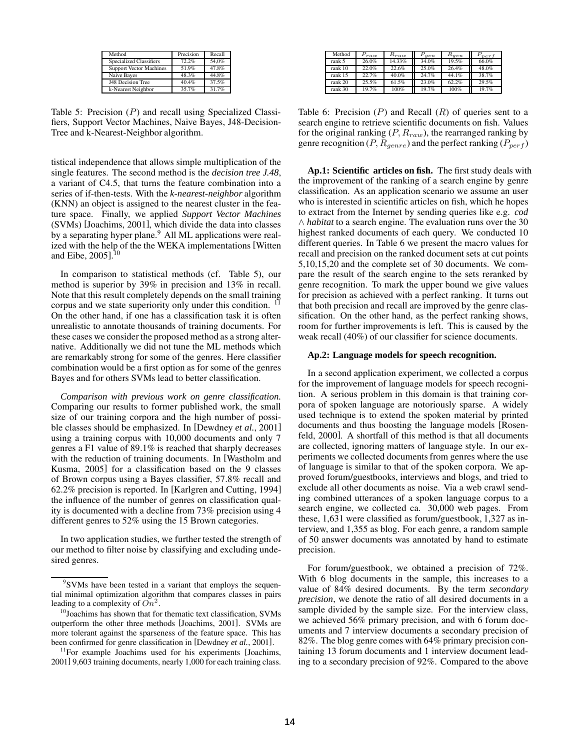| Method                         | Precision | Recall |
|--------------------------------|-----------|--------|
| <b>Specialized Classifiers</b> | 72.2%     | 54.0%  |
| <b>Support Vector Machines</b> | 51.9%     | 47.8%  |
| Naive Bayes                    | 48.3%     | 44.8%  |
| J48 Decision Tree              | 40.4%     | 37.5%  |
| k-Nearest Neighbor             | 35.7%     | 31.7%  |

Table 5: Precision (P) and recall using Specialized Classifiers, Support Vector Machines, Naive Bayes, J48-Decision-Tree and k-Nearest-Neighbor algorithm.

tistical independence that allows simple multiplication of the single features. The second method is the *decision tree J.48*, a variant of C4.5, that turns the feature combination into a series of if-then-tests. With the *k-nearest-neighbor* algorithm (KNN) an object is assigned to the nearest cluster in the feature space. Finally, we applied *Support Vector Machines* (SVMs) [Joachims, 2001], which divide the data into classes by a separating hyper plane.<sup>9</sup> All ML applications were realized with the help of the the WEKA implementations [Witten and Eibe, 2005]. 10

In comparison to statistical methods (cf. Table 5), our method is superior by 39% in precision and 13% in recall. Note that this result completely depends on the small training corpus and we state superiority only under this condition. <sup>11</sup> On the other hand, if one has a classification task it is often unrealistic to annotate thousands of training documents. For these cases we consider the proposed method as a strong alternative. Additionally we did not tune the ML methods which are remarkably strong for some of the genres. Here classifier combination would be a first option as for some of the genres Bayes and for others SVMs lead to better classification.

*Comparison with previous work on genre classification.* Comparing our results to former published work, the small size of our training corpora and the high number of possible classes should be emphasized. In [Dewdney *et al.*, 2001] using a training corpus with 10,000 documents and only 7 genres a F1 value of 89.1% is reached that sharply decreases with the reduction of training documents. In [Wastholm and Kusma, 2005] for a classification based on the 9 classes of Brown corpus using a Bayes classifier, 57.8% recall and 62.2% precision is reported. In [Karlgren and Cutting, 1994] the influence of the number of genres on classification quality is documented with a decline from 73% precision using 4 different genres to 52% using the 15 Brown categories.

In two application studies, we further tested the strength of our method to filter noise by classifying and excluding undesired genres.

| Method  | raw   | $R_{raw}$ | 'aen  | $R_{gen}$ | <i>pert</i> |
|---------|-------|-----------|-------|-----------|-------------|
| rank 5  | 26.0% | 14.33%    | 34.0% | 19.5%     | 66.0%       |
| rank 10 | 22.0% | 22.6%     | 25.0% | 26.4%     | 48.0%       |
| rank 15 | 22.7% | 40.0%     | 24.7% | 44.1%     | 38.7%       |
| rank 20 | 25.5% | 61.5%     | 23.0% | 62.2%     | 29.5%       |
| rank 30 | 19.7% | 100%      | 19.7% | 100%      | 19.7%       |

Table 6: Precision  $(P)$  and Recall  $(R)$  of queries sent to a search engine to retrieve scientific documents on fish. Values for the original ranking  $(P, R_{raw})$ , the rearranged ranking by genre recognition ( $P, R_{\text{generic}}$ ) and the perfect ranking ( $P_{\text{perf}}$ )

**Ap.1: Scientific articles on fish.** The first study deals with the improvement of the ranking of a search engine by genre classification. As an application scenario we assume an user who is interested in scientific articles on fish, which he hopes to extract from the Internet by sending queries like e.g. *cod* ∧ *habitat* to a search engine. The evaluation runs over the 30 highest ranked documents of each query. We conducted 10 different queries. In Table 6 we present the macro values for recall and precision on the ranked document sets at cut points 5,10,15,20 and the complete set of 30 documents. We compare the result of the search engine to the sets reranked by genre recognition. To mark the upper bound we give values for precision as achieved with a perfect ranking. It turns out that both precision and recall are improved by the genre classification. On the other hand, as the perfect ranking shows, room for further improvements is left. This is caused by the weak recall (40%) of our classifier for science documents.

#### **Ap.2: Language models for speech recognition.**

In a second application experiment, we collected a corpus for the improvement of language models for speech recognition. A serious problem in this domain is that training corpora of spoken language are notoriously sparse. A widely used technique is to extend the spoken material by printed documents and thus boosting the language models [Rosenfeld, 2000]. A shortfall of this method is that all documents are collected, ignoring matters of language style. In our experiments we collected documents from genres where the use of language is similar to that of the spoken corpora. We approved forum/guestbooks, interviews and blogs, and tried to exclude all other documents as noise. Via a web crawl sending combined utterances of a spoken language corpus to a search engine, we collected ca. 30,000 web pages. From these, 1,631 were classified as forum/guestbook, 1,327 as interview, and 1,355 as blog. For each genre, a random sample of 50 answer documents was annotated by hand to estimate precision.

For forum/guestbook, we obtained a precision of 72%. With 6 blog documents in the sample, this increases to a value of 84% desired documents. By the term *secondary precision*, we denote the ratio of all desired documents in a sample divided by the sample size. For the interview class, we achieved 56% primary precision, and with 6 forum documents and 7 interview documents a secondary precision of 82%. The blog genre comes with 64% primary precision containing 13 forum documents and 1 interview document leading to a secondary precision of 92%. Compared to the above

<sup>&</sup>lt;sup>9</sup>SVMs have been tested in a variant that employs the sequential minimal optimization algorithm that compares classes in pairs leading to a complexity of  $\widetilde{On}^2$ .

<sup>&</sup>lt;sup>10</sup>Joachims has shown that for thematic text classification, SVMs outperform the other three methods [Joachims, 2001]. SVMs are more tolerant against the sparseness of the feature space. This has been confirmed for genre classification in [Dewdney *et al.*, 2001].

<sup>&</sup>lt;sup>11</sup>For example Joachims used for his experiments [Joachims, 2001] 9,603 training documents, nearly 1,000 for each training class.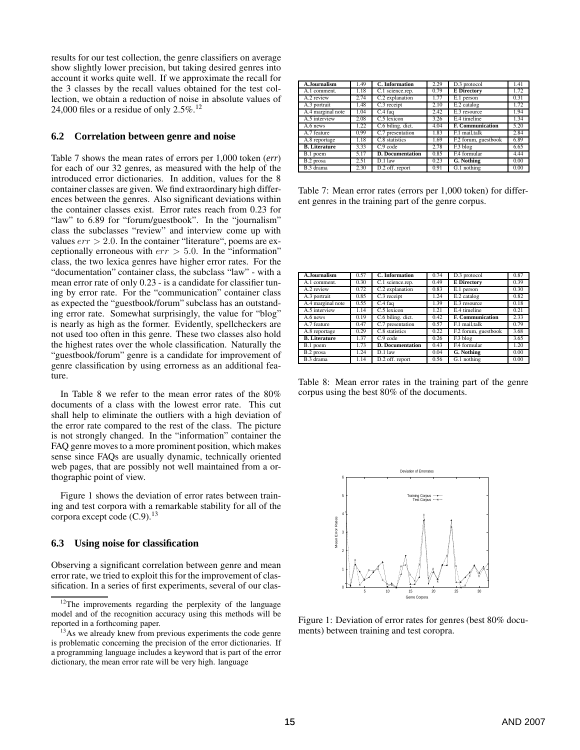results for our test collection, the genre classifiers on average show slightly lower precision, but taking desired genres into account it works quite well. If we approximate the recall for the 3 classes by the recall values obtained for the test collection, we obtain a reduction of noise in absolute values of 24,000 files or a residue of only  $2.5\%$ .<sup>12</sup>

### **6.2 Correlation between genre and noise**

Table 7 shows the mean rates of errors per 1,000 token (*err*) for each of our 32 genres, as measured with the help of the introduced error dictionaries. In addition, values for the 8 container classes are given. We find extraordinary high differences between the genres. Also significant deviations within the container classes exist. Error rates reach from 0.23 for "law" to 6.89 for "forum/guestbook". In the "journalism" class the subclasses "review" and interview come up with values  $err > 2.0$ . In the container "literature", poems are exceptionally erroneous with  $err > 5.0$ . In the "information" class, the two lexica genres have higher error rates. For the "documentation" container class, the subclass "law" - with a mean error rate of only 0.23 - is a candidate for classifier tuning by error rate. For the "communication" container class as expected the "guestbook/forum" subclass has an outstanding error rate. Somewhat surprisingly, the value for "blog" is nearly as high as the former. Evidently, spellcheckers are not used too often in this genre. These two classes also hold the highest rates over the whole classification. Naturally the "guestbook/forum" genre is a candidate for improvement of genre classification by using errorness as an additional feature.

In Table 8 we refer to the mean error rates of the 80% documents of a class with the lowest error rate. This cut shall help to eliminate the outliers with a high deviation of the error rate compared to the rest of the class. The picture is not strongly changed. In the "information" container the FAQ genre moves to a more prominent position, which makes sense since FAQs are usually dynamic, technically oriented web pages, that are possibly not well maintained from a orthographic point of view.

Figure 1 shows the deviation of error rates between training and test corpora with a remarkable stability for all of the corpora except code  $(C.9)$ .<sup>13</sup>

#### **6.3 Using noise for classification**

Observing a significant correlation between genre and mean error rate, we tried to exploit this for the improvement of classification. In a series of first experiments, several of our clas-

| A.Journalism         | 1.49 | C. Information          | 2.29 | $D.3$ protocol          | 1.41 |
|----------------------|------|-------------------------|------|-------------------------|------|
| A.1 comment.         | 1.18 | C.1 science.rep.        | 0.79 | <b>E</b> Directory      | 1.72 |
| A.2 review           | 2.74 | C.2 explanation         | 1.77 | E.1 person              | 0.31 |
| A.3 portrait         | 1.48 | C.3 receipt             | 2.10 | E.2 catalog             | 1.72 |
| A.4 marginal note    | 1.04 | C.4 faq                 | 2.42 | $E.3$ resource          | 1.94 |
| A.5 interview        | 2.08 | C.5 lexicon             | 3.26 | E.4 timeline            | 1.34 |
| A.6 news             | 1.22 | C.6 biling. dict.       | 4.04 | <b>F. Communication</b> | 5.20 |
| A.7 feature          | 0.99 | C.7 presentation        | 1.83 | F.1 mail.talk           | 2.84 |
| A.8 reportage        | 1.18 | C.8 statistics          | 1.69 | F.2 forum, guestbook    | 6.89 |
| <b>B.</b> Literature | 3.33 | $\overline{C.9}$ code   | 2.78 | $F.3$ blog              | 6.65 |
| B.1 poem             | 5.17 | <b>D.</b> Documentation | 0.85 | F.4 formular            | 4.44 |
| B.2 prosa            | 2.51 | D.1 law                 | 0.23 | G. Nothing              | 0.00 |
| B.3 drama            | 2.30 | D.2 off. report         | 0.91 | G.1 nothing             | 0.00 |

Table 7: Mean error rates (errors per 1,000 token) for different genres in the training part of the genre corpus.

| A.Journalism          | 0.57 | C. Information                 | 0.74 | D.3 protocol            | 0.87 |
|-----------------------|------|--------------------------------|------|-------------------------|------|
| A.1 comment.          | 0.30 | $\overline{C}$ .1 science.rep. | 0.49 | <b>E</b> Directory      | 0.39 |
| $A.2$ review          | 0.72 | C.2 explanation                | 0.83 | E.1 person              | 0.30 |
| A.3 portrait          | 0.85 | C.3 receipt                    | 1.24 | E.2 catalog             | 0.82 |
| A.4 marginal note     | 0.55 | C.4 faq                        | 1.39 | E.3 resource            | 0.18 |
| A.5 interview         | 1.14 | C.5 lexicon                    | 1.21 | E.4 timeline            | 0.21 |
| $\overline{A.6}$ news | 0.19 | C.6 biling. dict.              | 0.42 | <b>F. Communication</b> | 2.33 |
| A.7 feature           | 0.47 | C.7 presentation               | 0.57 | F.1 mail.talk           | 0.79 |
| A.8 reportage         | 0.29 | C.8 statistics                 | 0.22 | F.2 forum, guestbook    | 3.68 |
| <b>B.</b> Literature  | 1.37 | $C.9$ code                     | 0.26 | $F.3$ blog              | 3.65 |
| B.1 poem              | 1.73 | <b>D.</b> Documentation        | 0.43 | F.4 formular            | 1.20 |
| B.2 prosa             | 1.24 | D.1 law                        | 0.04 | <b>G.</b> Nothing       | 0.00 |
| B.3 drama             | 1.14 | D.2 off. report                | 0.56 | G.1 nothing             | 0.00 |

Table 8: Mean error rates in the training part of the genre corpus using the best 80% of the documents.



Figure 1: Deviation of error rates for genres (best 80% documents) between training and test coropra.

<sup>&</sup>lt;sup>12</sup>The improvements regarding the perplexity of the language model and of the recognition accuracy using this methods will be reported in a forthcoming paper.

 $13\text{As}$  we already knew from previous experiments the code genre is problematic concerning the precision of the error dictionaries. If a programming language includes a keyword that is part of the error dictionary, the mean error rate will be very high. language